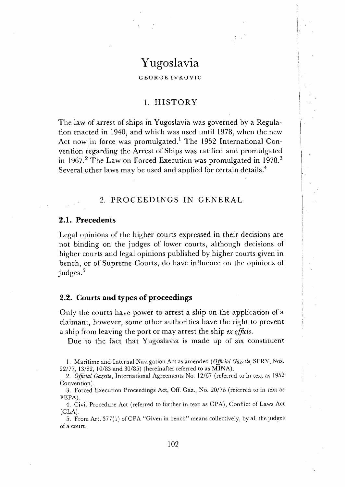# Yugoslavia

#### GEORGE IVKOVIC

### 1. HISTORY

The law of arrest of ships in Yugoslavia was governed by a Regulation enacted in 1940, and which was used until 1978, when the new Act now in force was promulgated.<sup>1</sup> The 1952 International Convention regarding the Arrest of Ships was ratified and promulgated in 1967.<sup>2</sup> The Law on Forced Execution was promulgated in 1978.<sup>3</sup> Several other laws may be used and applied for certain details.<sup>4</sup>

### 2. PROCEEDINGS IN GENERAL

#### **2.1. Precedents**

'Legal opinions of the higher courts expressed in their decisions are not binding on the judges of lower courts, although decisions of higher courts and legal opinions published by higher courts given in bench, or of Supreme Courts, do have influence on the opinions of judges.<sup>5</sup>

### **2.2. Courts and types of proceedings**

Only the courts have power to arrest a ship on the application of a claimant, however, some other authorities have the right to prevent a ship from leaving the port or may arrest the ship ex **ofhcio.** 

Due to the fact that Yugoslavia is made up of six constituent

5. From Art. 377(1) ofCPA "Given in bench" means collectively, by all the judges of a court.

<sup>1.</sup> Maritime and Internal Navigation Act as amended (Official Gazette, SFRY, Nos. 22/77, 13/82, 10/83 and 30/85) (hereinafter referred to as MINA).

<sup>2.</sup> Official Gazette, International Agreements No. 12/67 (referred to in text as 1952 Convention).

<sup>3.</sup> Forced Execution Proceedings Act, Off. Gaz., No. 20178 (referred to in text as FEPA).

<sup>4.</sup> Civil Procedure Act (referred to further in text as CPA), Conflict of Laws Act  $(CLA).$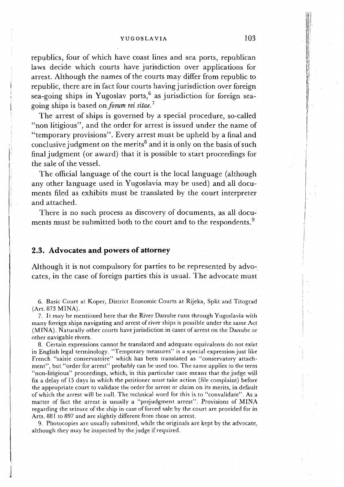#### YUGOSLAVIA 103

republics, four of which have coast lines and sea ports, republican laws decide which courts have jurisdiction over applications for arrest. Although the names of the courts may differ from republic to republic, there are in fact four courts having jurisdiction over foreign sea-going ships in Yugoslav ports,  $6$  as jurisdiction for foreign seagoing ships is based on *forum rei sitae.*<sup>7</sup>

The arrest of ships is governed by a special procedure, so-called " non litigious", and the order for arrest is issued under the name of "<br>temporary provisions". Every arrest must be upheld by a final and conclusive judgment on the merits<sup>8</sup> and it is only on the basis of such final judgment (or award) that it is possible to start proceedings for the sale of the vessel.

The official language of the court is the local language (although any other language used in Yugoslavia may be used) and all documents filed as exhibits must be translated by the court interpreter and attached.

There is no such process as discovery of documents, as all documents must be submitted both to the court and to the respondents.<sup>9</sup>

### **2.3. Advocates and powers of attorney**

Although it is not compulsory for parties to be represented by advocates, in the case of foreign parties this is usual. The advocate must

6. Basic Court at Koper, District Economic Courts at Rijeka, Split and Titograd (Art. 873 MINA).

7. It may be mentioned here that the River Danube runs through Yugoslavia with many foreign ships navigating and arrest of river ships is possible under the same Act (MINA). Naturally other courts have jurisdiction in cases of arrest on the Danube or other navigable rivers.

8. Certain expressions cannot be translated and adequate equivalents do not exist in English legal terminology. "Temporary measures" is a special expression just like French "saisie conservatoire" which has been translated as "conservatory attachment", but "order for arrest" probably can be used too. The same applies to the term "non-litigious" proceedings, which, in this particular case means that the judge will fix a delay of 15 days in which the petitioner must take action (file complaint) before the appropriate court to validate the order for arrest or claim on its merits, in default of which the arrest will be null. The technical word for this is to "convalidate". As a matter of fact the arrest is usually a "prejudgment arrest". Provisions of MINA regarding the seizure of the ship in case of forced sale by the court are provided for in Arts. 881 to 897 and are slightly different from those on arrest.

9. Photocopies are usually submitted, while the originals are kept by the advocate, although they may be inspected by the judge if required.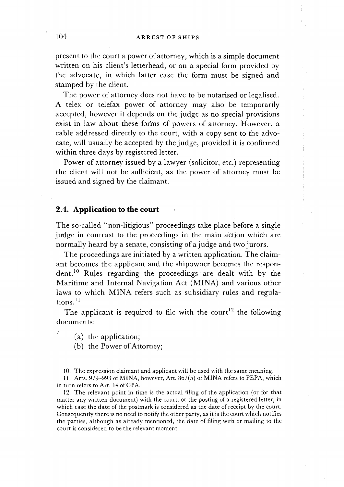present to the court a power of attorney, which is a simple document written on his client's letterhead, or on a special form provided by the advocate, in which latter case the form must be signed and stamped by the client.

The power of attorney does not have to be notarised or legalised. A telex or telefax power of attorney may also be temporarily accepted, however it depends on the judge as no special provisions exist in law about these forms of powers of attorney. However, a cable addressed directly to the court, with a copy sent to the advocate, will usually be accepted by the judge, provided it is confirmed within three days by registered letter.

Power of attorney issued by a lawyer (solicitor, etc.) representing the client will not be sufficient, as the power of attorney must be issued and signed by the claimant.

### **2.4. Application to the court**

The so-called "non-litigious" proceedings take place before a single judge in contrast to the proceedings in the main action which are normally heard by a senate, consisting of a judge and two jurors.

The proceedings are initiated by a written application. The claimant becomes the applicant and the shipowner becomes the respondent.<sup>10</sup> Rules regarding the proceedings are dealt with by the Maritime and Internal Navigation Act (MINA) and various other laws to which MINA refers such as subsidiary rules and regula $tions.<sup>11</sup>$ 

The applicant is required to file with the court<sup>12</sup> the following documents:

(a) the application;

/

(b) the Power of Attorney;

10. The expression claimant and applicant will be used with the same meaning.

11. Arts. 979-993 of MINA, however, Art. 867(5) of MINA refers to FEPA, which in turn refers to Art. 14 of CPA.

12. The relevant point in time is the actual filing of the application (or for that matter any written document) with the court, or the posting of a registered letter, in which case the date of the postmark is considered as the date of receipt by the court. Consequently there is no need to notify the other party, as it is the court which notifies the parties, although as already mentioned, the date of filing with or mailing to the court is considered to be the relevant moment.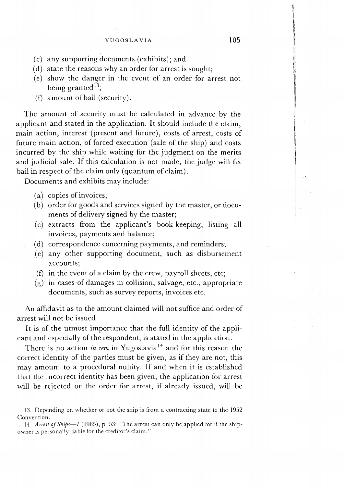- (c) any supporting documents (exhibits); and
- (d) state the reasons why an order for arrest is sought;
- (e) show the danger in the event of an order for arrest not being granted **13;**
- **(f)** amount of bail (security).

The amount of security must be calculated in advance by the applicant and stated in the application. It should include the claim, main action, interest (present and future), costs of arrest, costs of future main action, of forced execution (sale of the ship) and costs incurred by the ship while waiting for the judgment on the merits and judicial sale. If this calculation is not made, the judge will fix bail in respect of the claim only (quantum of claim).

Documents and exhibits may include:

- (a) copies of invoices;
- (b) order for goods and services signed by the master, or documents of delivery signed by the master;
- (c) extracts from the applicant's book-keeping, listing all invoices, payments and balance;
- (d) correspondence concerning payments, and reminders;
- (e) any other supporting document, such as disbursement accounts;
- **(f)** in the event of a claim by the crew, payroll sheets, etc;
- $(g)$  in cases of damages in collision, salvage, etc., appropriate documents, such as survey reports, invoices etc.

An affidavit as to the amount claimed will not suffice and order of arrest will not be issued.

It is of the utmost importance that the full identity of the applicant and especially of the respondent, is stated in the application.

There is no action *in rem* in Yugoslavia<sup>14</sup> and for this reason the correct identity of the parties must be given, as if they are not, this may amount to a procedural nullity. If and when it is established that the incorrect identity has been given, the application for arrest will be rejected or the order for arrest, if already issued, will be

<sup>13.</sup> Depending on whether or not the ship is from a contracting state to the 1952 Convention.

<sup>14.</sup> *Arrest* of *Ships-1* (1985), p. 53: "The arrest can only be applied for if the shipowner is personally liable for the creditor's claim."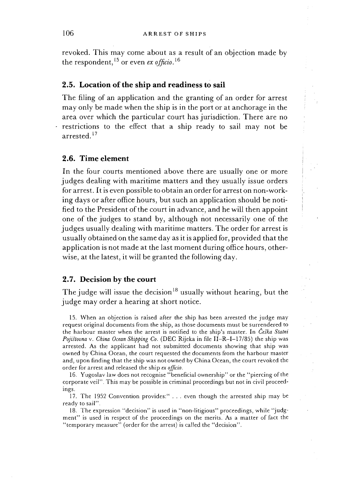revoked. This may come about as a result of an objection made by the respondent, l5 or even **ex** *oficio.* l6

### **2.5. Location of the ship and readiness to sail**

The filing of an application and the granting of an order for arrest may only be made when the ship is in the port or at anchorage in the area over which the particular court has jurisdiction. There are no restrictions to the effect that a ship ready to sail may not be arrested.<sup>17</sup>

### **2.6. Time element**

In the four courts mentioned above there are usually one or more judges dealing with maritime matters and they usually issue orders for arrest. It is even possible to obtain an order for arrest on non-working days or after office hours, but such an application should be notified to the President of the court in advance, and he will then appoint one of the judges to stand by, although not necessarily one of the judges usually dealing with maritime matters. The order for arrest is usually obtained on the same day as it is applied for, provided that the application is not made at the last moment during office hours, otherwise, at the latest, it will be granted the following day.

#### **2.7. Decision by the court**

The judge will issue the decision<sup>18</sup> usually without hearing, but the judge may order a hearing at short notice.

15. When an objection is raised after the ship has been arrested the judge may request original documents from the ship, as those documents must be surrendered to the harbour master when the arrest is notified to the ship's master. In *cefka Statni Pojiitovna* v. *China Ocean Shipping Co.* (DEC Rijeka in file 11-R-1-17/85) the ship was arrested. As the applicant had not submitted documents showing that ship was owned by China Ocean, the court requested the documents from the harbour master and, upon finding that the ship was not owned by China Ocean, the court revoked the order for arrest and released the ship *ex officio*.

16. Yugoslav law does not recognise "beneficial ownership" or the "piercing of the corporate veil". This may be possible in criminal proceedings but not in civil proceedings.

17. The 1952 Convention provides:" . . . even though the arrested ship may be ready to sail".

18. The expression "decision" is used in "non-litigious" proceedings, while "judgment" is used in respect of the proceedings on the merits. As a matter of fact the "temporary measure" (order for the arrest) is called the "decision".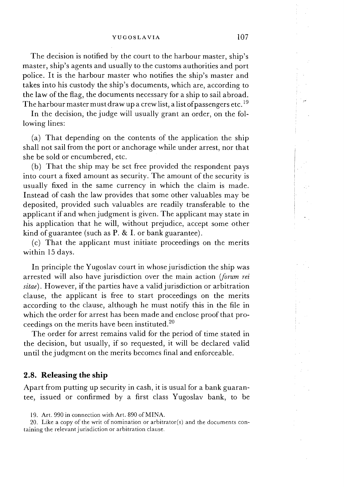The decision is notified by the court to the harbour master, ship's master, ship's agents and usually to the customs authorities and port police. It is the harbour master who notifies the ship's master and takes into his custody the ship's documents, which are, according to the law of the flag, the documents necessary for a ship to sail abroad. The harbour master must draw up a crew list, a list of passengers etc.  $^{19}$ 

In the decision, the judge will usually grant an order, on the following lines:

(a) That depending on the contents of the application the ship shall not sail from the port or anchorage while under arrest, nor that she be sold or encumbered, etc.

(b) That the ship may be set free provided the respondent pays into court a fixed amount as security. The amount of the security is usually fixed in the same currency in which the claim is made. Instead of cash the law provides that some other valuables may be deposited, provided such valuables are readily transferable to the applicant if and when judgment is given. The applicant may state in his application that he will, without prejudice, accept some other kind of guarantee (such as P. & I. or bank guarantee).

(c) That the applicant must initiate proceedings on the merits within 15 days.

In principle the Yugoslav court in whose jurisdiction the ship was arrested will also have jurisdiction over the main action (forum rei sitae). However, if the parties have a valid jurisdiction or arbitration clause, the applicant is free to start proceedings on the merits according to the clause, although he must notify this in the file in which the order for arrest has been made and enclose proof that proceedings on the merits have been instituted. $^{20}$ 

The order for arrest remains valid for the period of time stated in the decision, but usually, if so requested, it will be declared valid until the judgment on the merits becomes final and enforceable.

### **2.8. Releasing the ship**

Apart from putting up security in cash, it is usual for a bank guarantee, issued or confirmed by a first class Yugoslav bank, to be

20. Like a copy of the writ of nomination or arbitrator(s) and the documents containing the relevant jurisdiction or arbitration clause.

<sup>19.</sup> Art. 990 in connection with Art. 890 of MINA.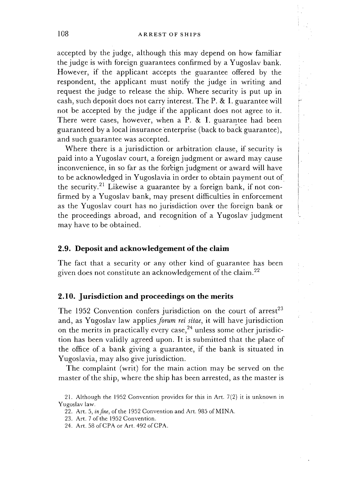accepted by the judge, although this may depend on how familiar the judge is with foreign guarantees confirmed by a Yugoslav bank. However, if the applicant accepts the guarantee offered by the respondent, the applicant must notify the judge in writing and request the judge to release the ship. Where security is put up in cash, such deposit does not carry interest. The P. & I. guarantee will not be accepted by the judge if the applicant does not agree to it. There were cases, however, when a P. & I. guarantee had been guaranteed by a local insurance enterprise (back to back guarantee), and such guarantee was accepted.

Where there is a jurisdiction or arbitration clause, if security is paid into a Yugoslav court, a foreign judgment or award may cause inconvenience, in so far as the for'eign judgment or award will have to be acknowledged in Yugoslavia in order to obtain payment out of the security.<sup>21</sup> Likewise a guarantee by a foreign bank, if not confirmed by a Yugoslav bank, may present difficulties in enforcement as the Yugoslav court has no jurisdiction over the foreign bank or the proceedings abroad, and recognition of a Yugoslav judgment may have to be obtained.

### **2.9. Deposit and acknowledgement of the claim**

The fact that a security or any other kind of guarantee has been given does not constitute an acknowledgement of the claim.22

# **2.10. Jurisdiction and proceedings on the merits**

The 1952 Convention confers jurisdiction on the court of  $arrest<sup>23</sup>$ and, as Yugoslav law applies *forum rei sitae*, it will have jurisdiction on the merits in practically every case, $24$  unless some other jurisdiction has been validly agreed upon. It is submitted that the place of the office of a bank giving a guarantee, if the bank is situated in Yugoslavia, may also give jurisdiction.

The complaint (writ) for the main action may be served on the master of the ship, where the ship has been arrested, as the master is

24. Art. 58 of CPA or Art. 492 of CPA.

<sup>21.</sup> Although the 1952 Convention provides for this in Art. 7(2) it is unknown in Yugoslav law.

<sup>22.</sup> Art. 5, *injne,* of the 1952 Convention and Art. 985 of MINA.

<sup>23.</sup> Art. 7 of the 1952 Convention.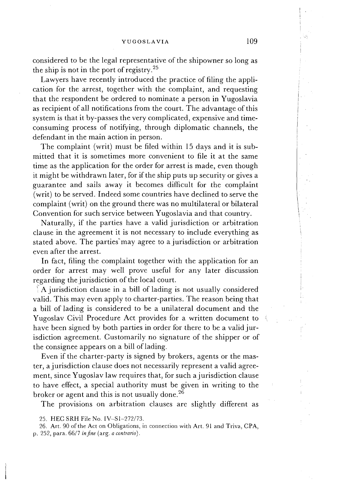considered to be the legal representative of the shipowner so long as the ship is not in the port of registry.<sup>25</sup>

Lawyers have recently introduced the practice of filing the application for the arrest, together with the complaint, and requesting that the respondent be ordered to nominate a person in Yugoslavia as recipient of all notifications from the court. The advantage of this system is that it by-passes the very complicated, expensive and timeconsuming process of notifying, through diplomatic channels, the defendant in the main action in person.

The complaint (writ) must be filed within 15 days and it is submitted that it is sometimes more convenient to file it at the same time as the application for the order for arrest is made, even though it might be withdrawn later, for if the ship puts up security or gives a guarantee and sails away it becomes difficult for the complaint (writ) to be served. Indeed some countries have declined to serve the complaint (writ) on the ground there was no multilateral or bilateral Convention for such service between Yugoslavia and that country.

Naturally, if the parties have a valid jurisdiction or arbitration clause in the agreement it is not necessary to include everything as stated above. The parties may agree to a jurisdiction or arbitration even after the arrest.

In fact, filing the complaint together with the application for an order for arrest may well prove useful for any later discussion regarding the jurisdiction of the local court.

A jurisdiction clause in a bill of lading is not usually considered valid. This may even apply to charter-parties. The reason being that a bill of lading is considered to be a unilateral document and the Yugoslav Civil Procedure Act provides for a written document to have been signed by both parties in order for there to be a valid jurisdiction agreement. Customarily no signature of the shipper or of the consignee appears on a bill of lading.

Even if the charter-party is signed by brokers, agents or the master, a jurisdiction clause does not necessarily represent a valid agreement, since Yugoslav law requires that, for such a jurisdiction clause to have effect, a special authority must be given in writing to the broker or agent and this is not usually done.<sup>26</sup>

The provisions on arbitration clauses are slightly different as

<sup>25.</sup> HEC SRH File No. IV-S1-272/73.

<sup>26.</sup> Art. 90 of the Act on Obligations, in connection with Art. 91 and Triva, CPA, p. 252, para. 6617 *injne* (arg. a *contmrio).*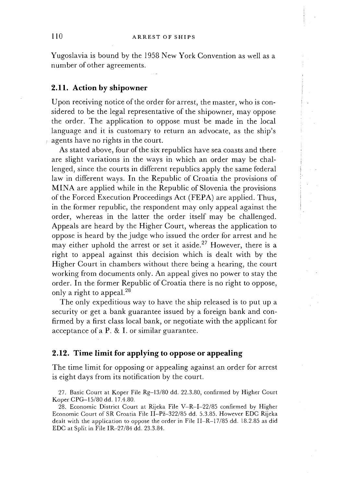Yugoslavia is bound by the 1958 New York Convention as well as a number of other agreements.

### **2.11.** Action by shipowner

Upon receiving notice of the order for arrest, the master, who is considered to be the legal representative of the shipowner, may oppose the order. The application to oppose must be made in the local language and it is customary to return an advocate, as the ship's agents have no rights in the court.

As stated above, four of the six republics have sea coasts and there are slight variations in the ways in which an order may be challenged, since the courts in different republics apply the same federal law in different ways. In the Republic of Croatia the provisions of MINA are applied while in the Republic of Slovenia the provisions of the Forced Execution Proceedings Act (FEPA) are applied. Thus, ; in the former republic, the respondent may only appeal against the order, whereas in the latter the order itself may be challenged. Appeals are heard by the Higher Court, whereas the application to oppose is heard by the judge who issued the order for arrest and he may either uphold the arrest or set it aside.<sup>27</sup> However, there is a right to appeal against this decision which is dealt with by the Higher Court in chambers without there being a hearing, the court working from documents only. An appeal gives no power to stay the order. In the former Republic of Croatia there is no right to oppose, only a right to appeal.<sup>28</sup>

The only expeditious way to have the ship released is to put up a security or get a bank guarantee issued by a foreign bank and confirmed by a first class local bank, or negotiate with the applicant for acceptance of a P. & I. or similar guarantee.

### **2.12. Time limit for applying to oppose or appealing**

The time limit for opposing or appealing against an order for arrest is eight days from its notification by the court.

27. Basic Court at Koper File Rg-13/80 dd. 22.3.80, confirmed by Higher Court Koper CPG-15/80 dd. 17.4.80.

28. Economic District Court at Rijeka File V-R-I-22/85 confirmed by Higher Economic Court of SR Croatia File II-Pž-322/85 dd. 5.3.85. However EDC Rijeka dealt with the application to oppose the order in File 11-R-17/85 dd. 18.2.85 as did EDC at Split in File IR-27/84 dd. 23.3.84.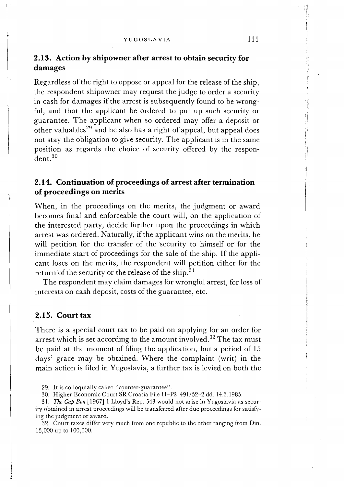YUGOSLAVIA 111

# **2.13. Action by shipowner after arrest to obtain security for damages**

Regardless of the right to oppose or appeal for the release of the ship, the respondent shipowner may request the judge to order a security in cash for damages if the arrest is subsequently found to be wrongful, and that the applicant be ordered to put up such security or guarantee. The applicant when so ordered may offer a deposit or other valuables<sup>29</sup> and he also has a right of appeal, but appeal does not stay the obligation to give security. The applicant is in the same position as regards the choice of security offered by the respondent.30

# **2.14. Continuation of proceedings of arrest after termination of proceedings on merits**

When, in the proceedings on the merits, the judgment or award becomes final and enforceable the court will, on the application of the interested party, decide further upon the proceedings in which arrest was ordered. Naturally, if the applicant wins on the merits, he will petition for the transfer of the security to himself or for the immediate start of proceedings for the sale of the ship. If the applicant loses on the merits, the respondent will petition either for the return of the security or the release of the ship.<sup>31</sup>

The respondent may claim damages for wrongful arrest, for loss of interests on cash deposit, costs of the guarantee, etc.

## **2.15. Court tax**

There is a special court tax to be paid on applying for an order for arrest which is set according to the amount involved.<sup>32</sup> The tax must be paid at the moment of filing the application, but a period of 15 days' grace may be obtained. Where the complaint (writ) in the main action is filed in Yugoslavia, a further tax is levied on both the

29. It is colloquially called "counter-guarantee".

30. Higher Economic Court SR Croatia File II-Pž-491/52-2 dd. 14.3.1985.

31. *The* Cap Bon [1967] 1 Lloyd's Rep. 543 would not arise in Yugoslavia as security obtained in arrest proceedings will be transferred after due proceedings for satisfying the judgment or award.

32. Court taxes differ very much from one republic to the other ranging from Din. 15,000 up to 100,000.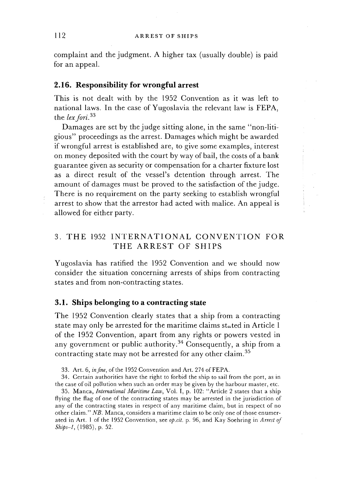complaint and the judgment. A higher tax (usually double) is paid for an appeal.

### **2.16. Responsibility for wrongful arrest**

This is not dealt with by the 1952 Convention as it was left to national laws. In the case of Yugoslavia the relevant law is FEPA, the *lex fori*.<sup>33</sup>

Damages are set by the judge sitting alone, in the same "non-litigious" proceedings as the arrest. Damages which might be awarded if wrongful arrest is established are, to give some examples, interest on money deposited with the court by way of bail, the costs of a bank guarantee given as security or compensation for a charter fixture lost as a direct result of the vessel's detention through arrest. The amount of damages must be proved to the satisfaction of the judge. There is no requirement on the party seeking to establish wrongful arrest to show that the arrestor had acted with malice. An appeal is allowed for either party.

# 3. THE 1952 INTERNATIONAL CONVENTION FOR THE ARREST OF SHIPS

Yugoslavia has ratified the 1952 Convention and we should now consider the situation concerning arrests of ships from contracting states and from non-contracting states.

### **3.1. Ships belonging to a contracting state**

The 1952 Convention clearly states that a ship from a contracting state may only be arrested for the maritime claims stated in Article 1 of the 1952 Convention, apart from any rights or powers vested in any government or public authority.<sup>34</sup> Consequently, a ship from a contracting state may not be arrested for any other claim.35

33. Art. 6, in fine, of the 1952 Convention and Art. 274 of FEPA.

34. Certain authorities have the right to forbid the ship to sail from the port, as in the case of oil pollution when such an order may be given by the harbour master, etc.

35. Manca, International Maritime Law, Vol. I, p. 102: "Article 2 states that a ship flying the flag of one of the contracting states may be arrested in the jurisdiction of any of the contracting states in respect of any maritime claim, but in respect of no other claim." NB. Manca, considers a maritime claim to be only one of those enumerated in Art. 1 of the 1952 Convention, see op.cit. p. 96, and Kay Soehring in Arrest of Ships-1, (1985), p. 52.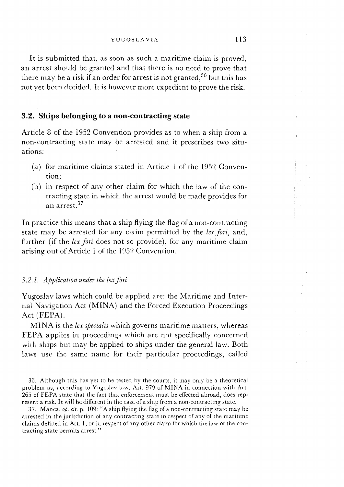It is submitted that, as soon as such a maritime claim is proved, an arrest should be granted and that there is no need to prove that there may be a risk if an order for arrest is not granted,  $36$  but this has not yet been decided. It is however more expedient to prove the risk.

### **3.2. Ships belonging to a non-contracting state**

Article 8 of the 1952 Convention provides as to when a ship from a non-contracting state may be arrested and it prescribes two situations:

- (a) for maritime claims stated in Article 1 of the 1952 Convention;
- (b) in respect of any other claim for which the law of the contracting state in which the arrest would be made provides for an arrest.37

In practice this means that a ship flying the flag of a non-contracting state may be arrested for any claim permitted by the *lex fori,* and, further (if the *lex fori* does not so provide), for any maritime claim arising out of Article 1 of the 1952 Convention.

#### *3.2.1. Application under the lex fori*

Yugoslav laws which could be applied are: the Maritime and Internal Navigation Act (NIINA) and the Forced Execution Proceedings Act (FEPA).

MINA is the *lex specialis* which governs maritime matters, whereas FEPA applies in proceedings which are not specifically concerned with ships but may be applied to ships under the general law. Both laws use the same name for their particular proceedings, called

<sup>36.</sup> Although this has yet to be tested by the courts, it may only be a theoretical problem as, according to Yugoslav law, Art. 979 of MINA in connection with Art. 265 of FEPA state that the fact that enforcement must be effected abroad, does represent a risk. It will be different in the case of a ship from a non-contracting state.

<sup>37.</sup> Manca, *ob.* cit, p. 109: "A ship flying the flag of a non-contracting state may be arrested in the jurisdiction of any contracting state in respect of any of the maritime claims defined in Art. 1, or in respect of any other claim for which the law of the contracting state permits arrest."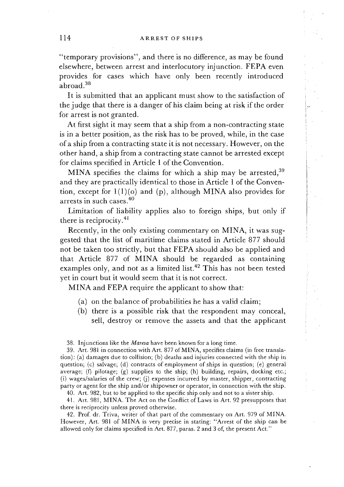"temporary provisions", and there is no difference, as may be found elsewhere, between arrest and interlocutory injunction. FEPA even provides for cases which have only been recently introduced abroad.38

It is submitted that an applicant must show to the satisfaction of the judge that there is a danger of his claim being at risk if the order for arrest is not granted.

At first sight it may seem that a ship from a non-contracting state is in a better position, as the risk has to be proved, while, in the case of a ship from a contracting state it is not necessary. However, on the other hand, a ship from a contracting state cannot be arrested except for claims specified in Article 1 of the Convention.

MINA specifies the claims for which a ship may be arrested,  $39$ and they are practically identical to those in Article 1 of the Convention, except for  $1(1)(o)$  and  $(p)$ , although MINA also provides for arrests in such cases.40

Limitation of liability applies also to foreign ships, but only if there is reciprocity.<sup>41</sup>

Recently, in the only existing commentary on MINA, it was suggested that the list of maritime claims stated in Article 877 should not be taken too strictly, but that FEPA should also be applied and that Article 877 of MINA should be regarded as containing examples only, and not as a limited list.<sup>42</sup> This has not been tested yet in court but it would seem that it is not correct.

MINA and FEPA require the applicant to show that:

- (a) on the balance of probabilities he has a valid claim;
- (b) there is a possible risk that the respondent may conceal, sell, destroy or remove the assets and that the applicant

38. Injunctions like the Mareva have been known for a long time.

39. Art. 981 in connection with Art. 877 of MINA, specifies claims (in free translation): (a) damages due to collision; (b) deaths and injuries connected with the ship in question; (c) salvage; (d) contracts of employment of ships in question; (e) general average; (f) pilotage; (g) supplies to the ship; (h) building, repairs, docking etc.; (i) wages/salaries of the crew; (j) expenses incurred by master, shipper, contracting party or agent for the ship and/or shipowner or operator, in connection with the ship. 40. Art. 982, but to be applied to the specific ship only and not to a sister ship.

41. Art. 981, NIINA. The Act on the Conflict of Laws in Art. 92 presupposes that there is reciprocity unless proved otherwise.

42. Prof. dr. Triva, writer of that part of the commentary on Art. 979 of MINA. However, Art. 981 of MINA is very precise in stating: "Arrest of the ship can be allowed only for claims specified in Art. 877, paras. 2 and 3 of, the present Act."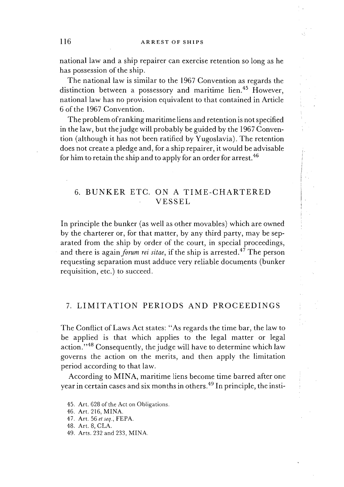national law and a ship repairer can exercise retention so long as he has possession of the ship.

The national law is similar to the 1967 Convention as regards the distinction between a possessory and maritime lien.<sup>45</sup> However, national law has no provision equivalent to that contained in Article 6 of the 1967 Convention.

The problem of ranking maritime liens and retention is not specified in the law, but the judge will probably be guided by the 1967 Convention (although it has not been ratified by Yugoslavia). The retention does not create a pledge and, for a ship repairer, it would be advisable for him to retain the ship and to apply for an order for arrest.<sup>46</sup>

# 6. BUNKER ETC. ON A TIME-CHARTERED VESSEL

In principle the bunker (as well as other movables) which are owned by the charterer or, for that matter, by any third party, may be separated from the ship by order of the court, in special proceedings, and there is again *forum rei sitae*, if the ship is arrested.<sup>47</sup> The person requesting separation must adduce very reliable documents (bunker requisition, etc.) to succeed.

# 7. LIMITATION PERIODS AND PROCEEDINGS

The Conflict of Laws Act states: "As regards the time bar, the law to be applied is that which applies to the legal matter or legal action."<sup>48</sup> Consequently, the judge will have to determine which law governs the action on the merits, and then apply the limitation period according to that law.

According to MINA, maritime liens become time barred after one year in certain cases and six months in others.49 In principle, the insti-

45. Art. 628 of the Act on Obligations

46. Art. 216, MINA.

47. Art. 56 et seq., FEPA.

48. Art. 8, CLA.

49. Arts. 232 and 233, MINA.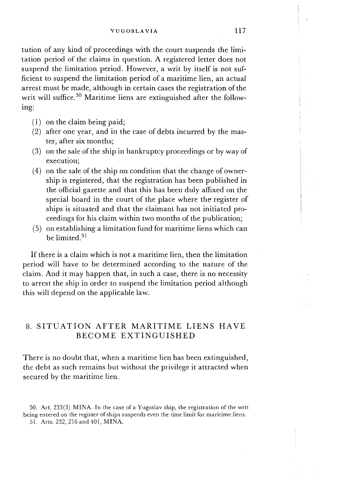tution of any kind of proceedings with the court suspends the limitation period of the claims in question. A registered letter does not suspend the limitation period. However, a writ by itself is not sufficient to suspend the limitation period of a maritime lien, an actual arrest must be made, although in certain cases the registration of the writ will suffice.<sup>50</sup> Maritime liens are extinguished after the following:

- ( 1) on the claim being paid;
- (2) after one year, and in the case of debts incurred by the master, after six months;
- *(3)* on the sale of the ship in bankruptcy proceedings or by way of execution;
- (4) on the sale of the ship on condition that the change of ownership is registered, that the registration has been published in the official gazette and that this has been duly affixed on the special board in the court of the place where the register of ships is situated and that the claimant has not initiated proceedings for his claim within two months of the publication;
- (5) on establishing a limitation fund for maritime liens which can be limited<sup>51</sup>

If there is a claim which is not a maritime lien, then the limitation period will have to be determined according to the nature of the claim. And it may happen that, in such a case, there is no necessity to arrest the ship in order to suspend the limitation period although this will depend on the applicable law.

# 8. SITUATION AFTER MARITIME LIENS HAVE BECOME EXTINGUISHED

There is no doubt that, when a maritime lien has been extinguished, the debt as such remains but without the privilege it attracted when secured by the maritime lien.

<sup>50.</sup> Art. 233(3) MINA. In the case of a Yugoslav ship, the registration of the writ being entered on the register of ships suspends even the time limit for maritime liens. 51. Arts. 232,216 and 401, MINA.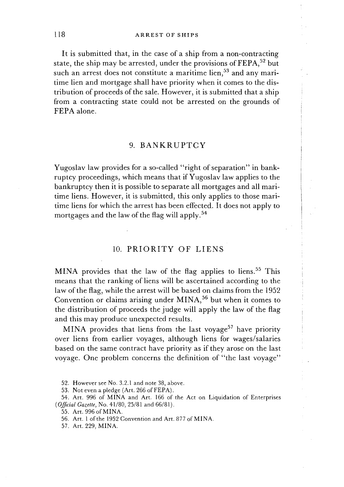It is submitted that, in the case of a ship from a non-contracting state, the ship may be arrested, under the provisions of  $\text{FERA}^{52}$  but such an arrest does not constitute a maritime lien,<sup>53</sup> and any maritime lien and mortgage shall have priority when it comes to the distribution of proceeds of the sale. However, it is submitted that a ship from a contracting state could not be arrested on the grounds of FEPA alone.

### 9. BANKRUPTCY

Yugoslav law provides for a so-called "right of separation" in bankruptcy proceedings, which means that if Yugoslav law applies to the bankruptcy then it is possible to separate all mortgages and all maritime liens. However, it is submitted, this only applies to those maritime liens for which the arrest has been effected. It does not apply to mortgages and the law of the flag will apply.54

## 10. PRIORITY OF LIENS

MINA provides that the law of the flag applies to liens.<sup>55</sup> This means that the ranking of liens will be ascertained according to the law of the flag, while the arrest will be based on claims from the 1952 Convention or claims arising under  $MINA$ ,<sup>56</sup> but when it comes to the distribution of proceeds the judge will apply the law of the flag and this may produce unexpected results.

MINA provides that liens from the last voyage<sup>57</sup> have priority over liens from earlier voyages, although liens for wages/salaries based on the same contract have priority as if they arose on the last voyage. One problem concerns the definition of "the last voyage"

53. Not even a pledge (Art. 266 of FEPA).

54. Art. 996 of MINA and Art. 166 of the Act on Liquidation of Enterprises *( Official Gazette, No. 41/80, 25/81 and 66/81).* 

<sup>52.</sup> However see No. 3.2.1 and note 38, above.

<sup>55.</sup> Art. 996 of MINA.

<sup>56.</sup> Art. 1 of the 1952 Convention and Art. 877 of MINA.

<sup>57.</sup> Art. 229, MINA.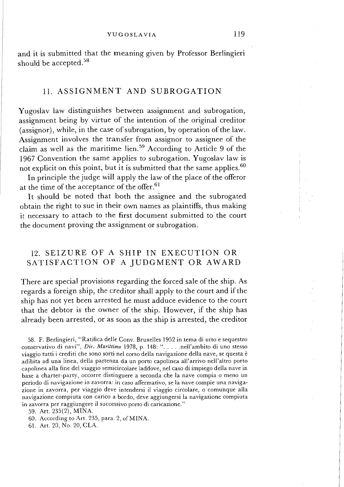and it is submitted that the meaning given by Professor Berlingieri should be accepted.<sup>58</sup>

# 11. ASSIGNMENT AND SUBROGATION

Yugoslav law distinguishes between assignment and subrogation, assignment being by virtue of the intention of the original creditor (assignor), while, in the case of subrogation, by operation of the law. Assignment involves the transfer from assignor to assignee of the claim as well as the maritime lien.<sup>59</sup> According to Article 9 of the 1967 Convention the same applies to subrogation. Yugoslav law is not explicit on this point, but it is submitted that the same applies.  $60$ 

In principle the judge will apply the law of the place of the offeror at the time of the acceptance of the offer.<sup>61</sup>

It should be noted that both the assignee and the subrogated obtain the right to sue in their own names as plaintiffs, thus making it necessary to attach to the first document submitted to the court the document proving the assignment or subrogation.

# 12. SEIZURE OF A SHIP IN EXECUTION OR SATISFACTION OF A JUDGMENT OR AWARD

There are special provisions regarding the forced sale of the ship. As regards a foreign ship, the creditor shall apply to the court and if the ship has not yet been arrested he must adduce evidence to the court that the debtor is the owner of the ship. However, if the ship has already been arrested, or as soon as the ship is arrested, the creditor

<sup>58.</sup> F. Berlingieri, "Ratifica delle Conv. Bruxelles 1952 in tema di urto e sequestro conservative di navi", *Dir. Marittimo* 1978, p. 148: ". . . . .nell'ambito di uno stesso viaggio tutti i crediti che sono sorti nel corso della navigazione della nave, se questa **i:**  adibita ad una linea, della partenza da un porto capolinea all'arrivo nell'altro porto capolinea alla fine del viaggio semicircolare laddove, nel caso di impiego della nave in base a charter-party, occorre distinguere a seconda che la nave compia o meno un period0 di navigazione in zavorra: in caso affermativo, se la nave compie una navigazione in zavorra, per viaggio deve intendersi il viaggio circolare, o comunque alla navigazione compiuta con carico a bordo, deve aggiungersi la navigazione compiuta in zavorra per raggiungere il successivo porto di caricazione."

<sup>59.</sup> Art. 235(2), MINA.

<sup>60.</sup> According to Art. 235, para. 2, of MINA.

<sup>61.</sup> Art. 20, No. 20, CLA.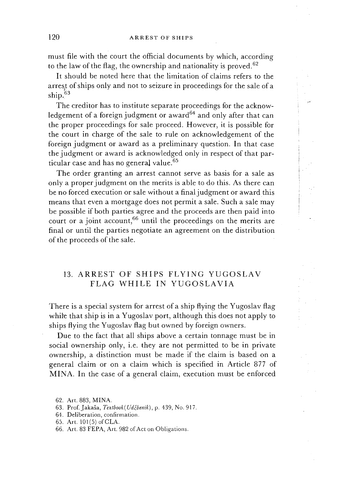must file with the court the official documents by which, according to the law of the flag, the ownership and nationality is proved.<sup>62</sup>

It should be noted here that the limitation of claims refers to the arrest of ships only and not to seizure in proceedings for the sale of a ship.63

**-7** 

I

The creditor has to institute separate proceedings for the acknowledgement of a foreign judgment or award<sup>64</sup> and only after that can the proper proceedings for sale proceed. However, it is possible for the court in charge of the sale to rule on acknowledgement of the foreign judgment or award as a preliminary question. In that case the judgment or award is acknowledged only in respect of that particular case and has no general value.<sup>65</sup>

The order granting an arrest cannot serve as basis for a sale as only a proper judgment on the merits is able to do this. As there can be no forced execution or sale without a final judgment or award this means that even a mortgage does not permit a sale. Such a sale may be possible if both parties agree and the proceeds are then paid into court or a joint account,<sup>66</sup> until the proceedings on the merits are final or until the parties negotiate an agreement on the distribution of the proceeds of the sale.

# 13. ARREST OF SHIPS FLYING YUGOSLAV FLAG WHILE IN YUGOSLAVIA

There is a special system for arrest of a ship flying the Yugoslav flag while that ship is in a Yugoslav port, although this does not apply to ships flying the Yugoslav flag but owned by foreign owners.

Due to the fact that all ships above a certain tonnage must be in social ownership only, i.e. they are not permitted to be in private ownership, a distinction must be made if the claim is based on a general claim or on a claim which is specified in Article 877 of MINA. In the case of a general claim, execution must be enforced

<sup>62.</sup> Art. 883, MINA.

<sup>63.</sup> Prof. Jakaša, Textbook(Udžbenik), p. 439, No. 917.

<sup>64.</sup> Deliberation, confirmation.

<sup>65.</sup> Art. 101(5) of CLA.

<sup>66.</sup> Art. 83 FEPA, Art. 982 of Act on Obligations.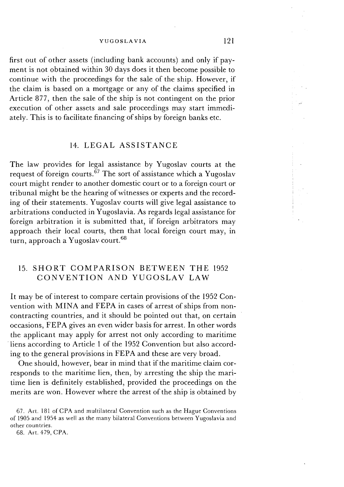first out of other assets (including bank accounts) and only if payment is not obtained within 30 days does it then become possible to continue with the proceedings for the sale of the ship. However, if the claim is based on a mortgage or any of the claims specified in Article 877, then the sale of the ship is not contingent on the prior execution of other assets and sale proceedings may start immediately. This is to facilitate financing of ships by foreign banks etc.

### 14. LEGAL ASSISTANCE

The law provides for legal assistance by Yugoslav courts at the request of foreign courts.<sup> $\vec{67}$ </sup> The sort of assistance which a Yugoslav court might render to another domestic court or to a foreign court or tribunal might be the hearing of witnesses or experts and the recording of their statements. Yugoslav courts will give legal assistance to arbitrations conducted in Yugoslavia. As regards legal assistance for foreign arbitration it is submitted that, if foreign arbitrators may approach their local courts, then that local foreign court may, in turn, approach a Yugoslav court. $68$ 

# 15. SHORT COMPARISON BETWEEN THE 1952 CONVENTION AND YUGOSLAV LAW

It may be of interest to compare certain provisions of the 1952 Convention with MINA and FEPA in cases of arrest of ships from noncontracting countries, and it should be pointed out that, on certain occasions, FEPA gives an even wider basis for arrest. In other words the applicant may apply for arrest not only according to maritime liens according to Article 1 of the 1952 Convention but also according to the general provisions in FEPA and these are very broad.

One should, however, bear in mind that if the maritime claim corresponds to the maritime lien, then, by arresting the ship the maritime lien is definitely established, provided the proceedings on the merits are won. However where the arrest of the ship is obtained by

67. Art. 181 of CPA and multilateral Convention such as the Hague Conventions of 1905 and 1954 as well as the many bilateral Conventions between Yugoslavia and other countries.

68. Art. 479, CPA.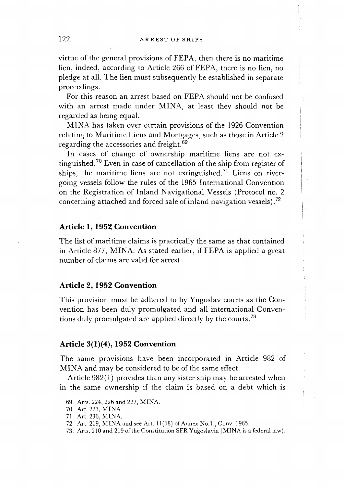virtue of the general provisions of FEPA, then there is no maritime lien, indeed, according to Article 266 of FEPA, there is no lien, no pledge at all. The lien must subsequently be established in separate proceedings.

For this reason an arrest based on FEPA should not be confused with an arrest made under MINA, at least they should not be regarded as being equal.

NIINA has taken over certain provisions of the 1926 Convention relating to Maritime Liens and Mortgages, such as those in Article 2 regarding the accessories and freight.<sup>69</sup>

In cases of change of ownership maritime liens are not extinguished.70 Even in case of cancellation of the ship from register of ships, the maritime liens are not extinguished.<sup>71</sup> Liens on rivergoing vessels follow the rules of the 1965 International Convention on the Registration of Inland Navigational Vessels (Protocol no. 2 concerning attached and forced sale of inland navigation vessels).72

### **Article 1, 1952 Convention**

The list of maritime claims is practically the same as that contained in Article 877, MINA. As stated earlier, if FEPA is applied a great number of claims are valid for arrest.

### **Article 2,1952 Convention**

This provision must be adhered to by Yugoslav courts as the Convention has been duly promulgated and all international Conventions duly promulgated are applied directly by the courts.<sup>73</sup>

### **Article 3(1)(4), 1952 Convention**

The same provisions have been incorporated in Article 982 of MINA and may be considered to be of the same effect.

Article 982(1) provides than any sister ship may be arrested when in the same ownership if the claim is based on a debt which is

<sup>69.</sup> Arts. 224, 226 and 227, MINA.

<sup>70.</sup> Art. 223, MINA.

<sup>7 1.</sup> Art. 236, MINA.

<sup>72.</sup> Art. 219, MINA and see Art. 11(18) of Annex No.1., Conv. 1965.

<sup>73.</sup> Arts. 210 and 219 of the Constitution SFR Yugoslavia (MINA is a federal law).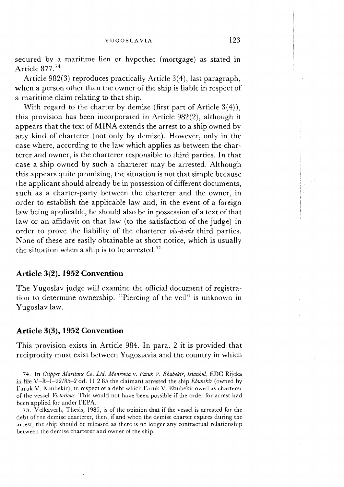secured by a maritime lien or hypothec (mortgage) as stated in Article 877.74

Article 982(3) reproduces practically Article 3(4), last paragraph, when a person other than the owner of the ship is liable in respect of a maritime claim relating to that ship.

With regard to the charter by demise (first part of Article **3(4)),**  this provision has been incorporated in Article 982(2), although it appears that the text of MINA extends the arrest to a ship owned by any kind of charterer (not only by demise). However, only in the case where, according to the law which applies as between the charterer and owner, is the charterer responsible to third parties. In that case a ship owned by such a charterer may be arrested. Although this appears quite promising, the situation is not that simple because the applicant should already be in possession of different documents, such as a charter-party between the charterer and the owner, in order to establish the applicable law and, in the event of a foreign law being applicable, he should also be in possession of a text of that law or an affidavit on that law (to the satisfaction of the judge) in order to prove the liability of the charterer *vis-à-vis* third parties. None of these are easily obtainable at short notice, which is usually the situation when a ship is to be arrested.75

### **Article 3(2), 1952 Convention**

The Yugoslav judge will examine the official document of registration to determine ownership. "Piercing of the veil" is unknown in Yugoslav law.

### **Article 3 (3), 1952 Convention**

This provision exists in Article 984. In para. 2 it is provided that reciprocity must exist between Yugoslavia and the country in which

75. Velkaverh, Thesis, 1985, is of the opinion that if the vessel is arrested for the debt of the demise charterer, then, if and when the demise charter expires during the arrest, the ship should be released as there is no longer any contractual relationship between the demise charterer and owner of the ship.

<sup>74.</sup> In Clipper Maritime Co. *Ltd.* Monrovia v. Faruk V. Ebubekir, Istanbul, EDC Rijeka in file V-R-1-22185-2 dd. 11.2.85 the claimant arrested the ship Ebubekir (owned by Faruk V. Ebubekir), in respect of a debt which Faruk V. Ebubekir owed as charterer of the vessel Victorious. This would not have been possible if the order for arrest had been applied for under FEPA.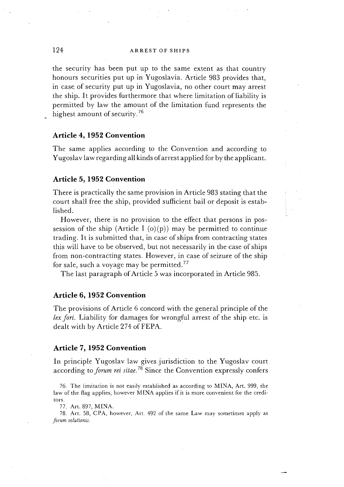### 124 **ARREST** OF SHIPS

the security has been put up to the same extent as that country honours securities put up in Yugoslavia. Article 983 provides that, in case, of security put up in Yugoslavia, no other court may arrest the ship. It provides furthermore that where limitation of liability is permitted by law the amount of the limitation fund represents the highest amount of security *.'6* 

#### **Article 4, 1952 Convention**

The same applies according to the Convention and according to Yugoslav law regarding all kinds of arrest applied for by the applicant.

#### **Article 5, 1952 Convention**

There is practically the same provision in Article 983 stating that the court shall free the ship, provided sufficient bail or deposit is established.

However, there is no provision to the effect that persons in possession of the ship (Article I  $(o)(p)$ ) may be permitted to continue trading. It is submitted that, in case of ships from contracting states this will have to be observed, but not necessarily in the case of ships from non-contracting states. However, in case of seizure of the ship for sale, such a voyage may be permitted.<sup>77</sup>

The last paragraph of Article 5 was incorporated in Article 985.

#### **Article 6, 1952 Convention**

The provisions of Article 6 concord with the general principle of the lex fori. Liability for damages for wrongful arrest of the ship etc. is dealt with by Article 274 of FEPA.

#### **Article 7, 1952 Convention**

In principle Yugoslav law gives jurisdiction to the Yugoslav court according to *forum rei sitae.*<sup>78</sup> Since the Convention expressly confers

76. The limitation is not easily established as according to MINA, Art. 999, the law of the flag applies, however MINA applies if it is more convenient for the creditors.

77. Art. 897, MINA.

78. Art. 58, CPA, however, Art. 492 of the same Law may sometimes apply as *forum solutionis.*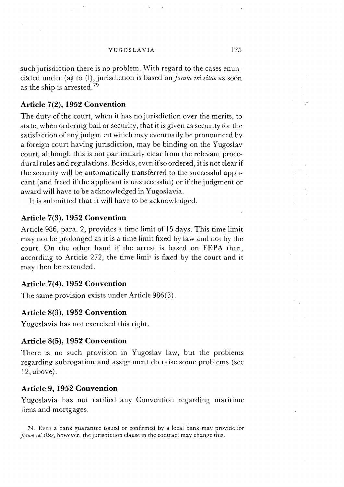such jurisdiction there is no problem. With regard to the cases enunciated under (a) to (f), jurisdiction is based on *forum rei sitae* as soon as the ship is arrested.<sup>79</sup>

### **Article 7(2), 1952 Convention**

The duty of the court, when it has no jurisdiction over the merits, to state, when ordering bail or security, that it is given as security for the satisfaction of any judgm :nt which may eventually be pronounced by a foreign court having jurisdiction, may be binding on the Yugoslav court, although this is not particularly clear from the relevant procedural rules and regulations. Besides, even ifso ordered, it is not clear if the security will be automatically transferred to the successful applicant (and freed if the applicant is unsuccessful) or if the judgment or award will have to be acknowledged in Yugoslavia.

It is submitted that it will have to be acknowledged.

### **Article 7(3), 1952 Convention**

Article 986, para. 2, provides a time limit of 15 days. This time limit may not be prolonged as it is a time limit fixed by law and not by the court. On the other hand if the arrest is based on FEPA then, according to Article 272, the time limit is fixed by the court and it may then be extended.

### **Article 7(4), 1952 Convention**

The same provision exists under Article 986(3).

### **Article 8(3), 1952 Convention**

Yugoslavia has not exercised this right.

#### **Article 8(5), 1952 Convention**

There is no such provision in Yugoslav law, but the problems regarding subrogation and assignment do raise some problems (see 12, above).

### **Article 9, 1952 Convention**

Yugoslavia has not ratified any Convention regarding maritime liens and mortgages.

79. Even a bank guarantee issued or confirmed by a local bank may provide for *forum rei sitae,* however, the jurisdiction clause in the contract may change this.